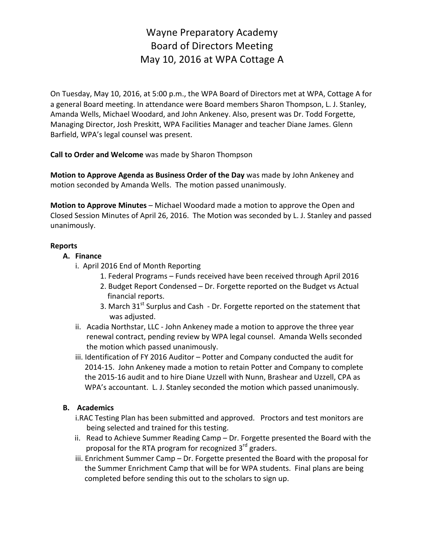# Wayne Preparatory Academy Board of Directors Meeting May 10, 2016 at WPA Cottage A

On Tuesday, May 10, 2016, at 5:00 p.m., the WPA Board of Directors met at WPA, Cottage A for a general Board meeting. In attendance were Board members Sharon Thompson, L. J. Stanley, Amanda Wells, Michael Woodard, and John Ankeney. Also, present was Dr. Todd Forgette, Managing Director, Josh Preskitt, WPA Facilities Manager and teacher Diane James. Glenn Barfield, WPA's legal counsel was present.

**Call to Order and Welcome** was made by Sharon Thompson

**Motion to Approve Agenda as Business Order of the Day** was made by John Ankeney and motion seconded by Amanda Wells. The motion passed unanimously.

**Motion to Approve Minutes** – Michael Woodard made a motion to approve the Open and Closed Session Minutes of April 26, 2016. The Motion was seconded by L. J. Stanley and passed unanimously.

#### **Reports**

### **A. Finance**

- i. April 2016 End of Month Reporting
	- 1. Federal Programs Funds received have been received through April 2016
	- 2. Budget Report Condensed Dr. Forgette reported on the Budget vs Actual financial reports.
	- 3. March  $31<sup>st</sup>$  Surplus and Cash Dr. Forgette reported on the statement that was adjusted.
- ii. Acadia Northstar, LLC John Ankeney made a motion to approve the three year renewal contract, pending review by WPA legal counsel. Amanda Wells seconded the motion which passed unanimously.
- iii. Identification of FY 2016 Auditor Potter and Company conducted the audit for 2014-15. John Ankeney made a motion to retain Potter and Company to complete the 2015-16 audit and to hire Diane Uzzell with Nunn, Brashear and Uzzell, CPA as WPA's accountant. L. J. Stanley seconded the motion which passed unanimously.

# **B. Academics**

- i.RAC Testing Plan has been submitted and approved. Proctors and test monitors are being selected and trained for this testing.
- ii. Read to Achieve Summer Reading Camp  $-$  Dr. Forgette presented the Board with the proposal for the RTA program for recognized  $3^{rd}$  graders.
- iii. Enrichment Summer Camp  $-$  Dr. Forgette presented the Board with the proposal for the Summer Enrichment Camp that will be for WPA students. Final plans are being completed before sending this out to the scholars to sign up.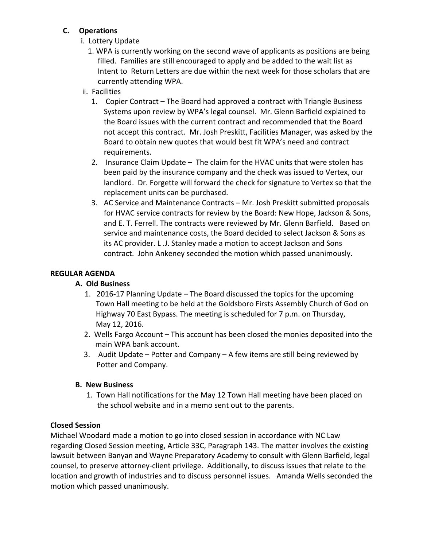## **C. Operations**

- **i.** Lottery Update
	- 1. WPA is currently working on the second wave of applicants as positions are being filled. Families are still encouraged to apply and be added to the wait list as Intent to Return Letters are due within the next week for those scholars that are currently attending WPA.
- ii. Facilities
	- 1. Copier Contract The Board had approved a contract with Triangle Business Systems upon review by WPA's legal counsel. Mr. Glenn Barfield explained to the Board issues with the current contract and recommended that the Board not accept this contract. Mr. Josh Preskitt, Facilities Manager, was asked by the Board to obtain new quotes that would best fit WPA's need and contract requirements.
	- 2. Insurance Claim Update The claim for the HVAC units that were stolen has been paid by the insurance company and the check was issued to Vertex, our landlord. Dr. Forgette will forward the check for signature to Vertex so that the replacement units can be purchased.
	- 3. AC Service and Maintenance Contracts Mr. Josh Preskitt submitted proposals for HVAC service contracts for review by the Board: New Hope, Jackson & Sons, and E. T. Ferrell. The contracts were reviewed by Mr. Glenn Barfield. Based on service and maintenance costs, the Board decided to select Jackson & Sons as its AC provider. L.J. Stanley made a motion to accept Jackson and Sons contract. John Ankeney seconded the motion which passed unanimously.

# **REGULAR AGENDA**

### **A. Old Business**

- 1. 2016-17 Planning Update The Board discussed the topics for the upcoming Town Hall meeting to be held at the Goldsboro Firsts Assembly Church of God on Highway 70 East Bypass. The meeting is scheduled for 7 p.m. on Thursday, May 12, 2016.
- 2. Wells Fargo Account This account has been closed the monies deposited into the main WPA bank account.
- 3. Audit Update  $-$  Potter and Company  $-$  A few items are still being reviewed by Potter and Company.

# **B.** New Business

1. Town Hall notifications for the May 12 Town Hall meeting have been placed on the school website and in a memo sent out to the parents.

# **Closed Session**

Michael Woodard made a motion to go into closed session in accordance with NC Law regarding Closed Session meeting, Article 33C, Paragraph 143. The matter involves the existing lawsuit between Banyan and Wayne Preparatory Academy to consult with Glenn Barfield, legal counsel, to preserve attorney-client privilege. Additionally, to discuss issues that relate to the location and growth of industries and to discuss personnel issues. Amanda Wells seconded the motion which passed unanimously.